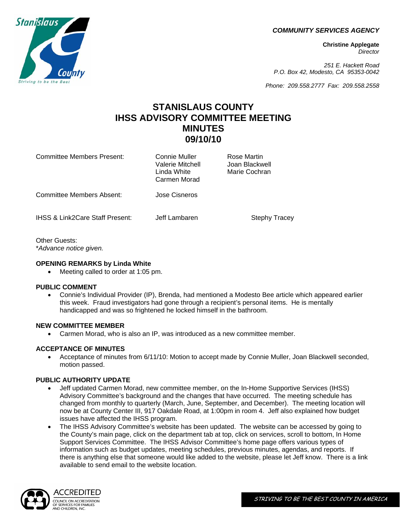*COMMUNITY SERVICES AGENCY*

**Christine Applegate** *Director*

*251 E. Hackett Road P.O. Box 42, Modesto, CA 95353-0042*

*Phone: 209.558.2777 Fax: 209.558.2558*

# **STANISLAUS COUNTY IHSS ADVISORY COMMITTEE MEETING MINUTES 09/10/10**

Committee Members Present: Connie Muller Rose Martin<br>Valerie Mitchell (India Rackwell) Valerie Mitchell Linda White **Marie Cochran**  Carmen Morad Committee Members Absent: Jose Cisneros IHSS & Link2Care Staff Present: Jeff Lambaren Stephy Tracey

Other Guests: \**Advance notice given.* 

# **OPENING REMARKS by Linda White**

Meeting called to order at 1:05 pm.

# **PUBLIC COMMENT**

 Connie's Individual Provider (IP), Brenda, had mentioned a Modesto Bee article which appeared earlier this week. Fraud investigators had gone through a recipient's personal items. He is mentally handicapped and was so frightened he locked himself in the bathroom.

# **NEW COMMITTEE MEMBER**

Carmen Morad, who is also an IP, was introduced as a new committee member.

# **ACCEPTANCE OF MINUTES**

 Acceptance of minutes from 6/11/10: Motion to accept made by Connie Muller, Joan Blackwell seconded, motion passed.

# **PUBLIC AUTHORITY UPDATE**

- Jeff updated Carmen Morad, new committee member, on the In-Home Supportive Services (IHSS) Advisory Committee's background and the changes that have occurred. The meeting schedule has changed from monthly to quarterly (March, June, September, and December). The meeting location will now be at County Center III, 917 Oakdale Road, at 1:00pm in room 4. Jeff also explained how budget issues have affected the IHSS program.
- The IHSS Advisory Committee's website has been updated. The website can be accessed by going to the County's main page, click on the department tab at top, click on services, scroll to bottom, In Home Support Services Committee. The IHSS Advisor Committee's home page offers various types of information such as budget updates, meeting schedules, previous minutes, agendas, and reports. If there is anything else that someone would like added to the website, please let Jeff know. There is a link available to send email to the website location.





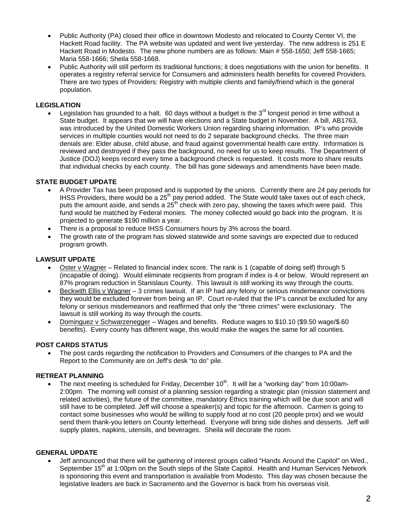- Public Authority (PA) closed their office in downtown Modesto and relocated to County Center VI, the Hackett Road facility. The PA website was updated and went live yesterday. The new address is 251 E Hackett Road in Modesto. The new phone numbers are as follows: Main # 558-1650; Jeff 558-1665; Maria 558-1666; Sheila 558-1668.
- Public Authority will still perform its traditional functions; it does negotiations with the union for benefits. It operates a registry referral service for Consumers and administers health benefits for covered Providers. There are two types of Providers: Registry with multiple clients and family/friend which is the general population.

# **LEGISLATION**

Legislation has grounded to a halt. 60 days without a budget is the 3<sup>rd</sup> longest period in time without a State budget. It appears that we will have elections and a State budget in November. A bill, AB1763, was introduced by the United Domestic Workers Union regarding sharing information. IP's who provide services in multiple counties would not need to do 2 separate background checks. The three main denials are: Elder abuse, child abuse, and fraud against governmental health care entity. Information is reviewed and destroyed if they pass the background, no need for us to keep results. The Department of Justice (DOJ) keeps record every time a background check is requested. It costs more to share results that individual checks by each county. The bill has gone sideways and amendments have been made.

# **STATE BUDGET UPDATE**

- A Provider Tax has been proposed and is supported by the unions. Currently there are 24 pay periods for IHSS Providers, there would be a  $25<sup>th</sup>$  pay period added. The State would take taxes out of each check, puts the amount aside, and sends a  $25<sup>th</sup>$  check with zero pay, showing the taxes which were paid. This fund would be matched by Federal monies. The money collected would go back into the program. It is projected to generate \$190 million a year.
- There is a proposal to reduce IHSS Consumers hours by 3% across the board.
- The growth rate of the program has slowed statewide and some savings are expected due to reduced program growth.

## **LAWSUIT UPDATE**

- Oster v Wagner Related to financial index score. The rank is 1 (capable of doing self) through 5 (incapable of doing). Would eliminate recipients from program if index is 4 or below. Would represent an 87% program reduction in Stanislaus County. This lawsuit is still working its way through the courts.
- Beckwith Ellis v Wagner 3 crimes lawsuit. If an IP had any felony or serious misdemeanor convictions they would be excluded forever from being an IP. Court re-ruled that the IP's cannot be excluded for any felony or serious misdemeanors and reaffirmed that only the "three crimes" were exclusionary. The lawsuit is still working its way through the courts.
- Dominguez v Schwarzenegger Wages and benefits. Reduce wages to \$10.10 (\$9.50 wage/\$.60 benefits). Every county has different wage, this would make the wages the same for all counties.

#### **POST CARDS STATUS**

 The post cards regarding the notification to Providers and Consumers of the changes to PA and the Report to the Community are on Jeff's desk "to do" pile.

#### **RETREAT PLANNING**

The next meeting is scheduled for Friday, December  $10<sup>th</sup>$ . It will be a "working day" from 10:00am-2:00pm. The morning will consist of a planning session regarding a strategic plan (mission statement and related activities), the future of the committee, mandatory Ethics training which will be due soon and will still have to be completed. Jeff will choose a speaker(s) and topic for the afternoon. Carmen is going to contact some businesses who would be willing to supply food at no cost (20 people prox) and we would send them thank-you letters on County letterhead. Everyone will bring side dishes and desserts. Jeff will supply plates, napkins, utensils, and beverages. Sheila will decorate the room.

## **GENERAL UPDATE**

 Jeff announced that there will be gathering of interest groups called "Hands Around the Capitol" on Wed., September 15<sup>th</sup> at 1:00pm on the South steps of the State Capitol. Health and Human Services Network is sponsoring this event and transportation is available from Modesto. This day was chosen because the legislative leaders are back in Sacramento and the Governor is back from his overseas visit.